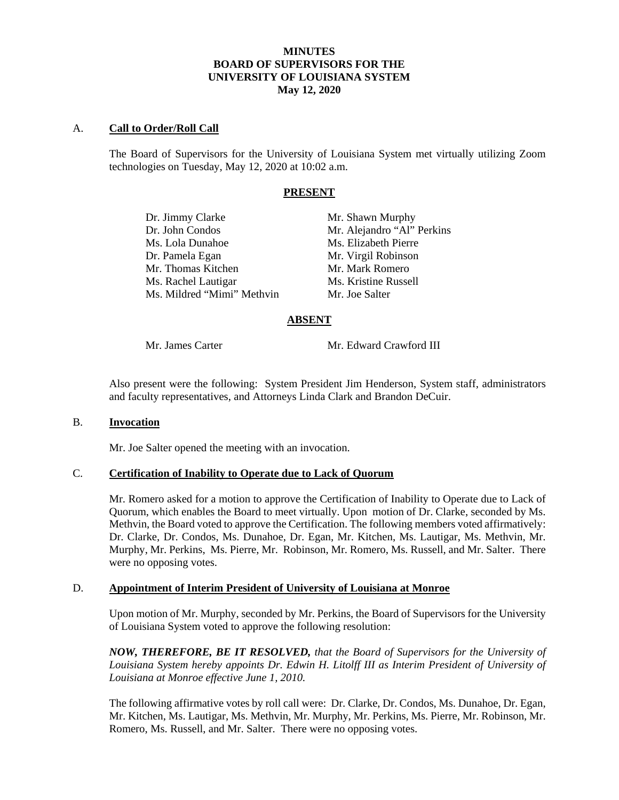## **MINUTES BOARD OF SUPERVISORS FOR THE UNIVERSITY OF LOUISIANA SYSTEM May 12, 2020**

## A. **Call to Order/Roll Call**

The Board of Supervisors for the University of Louisiana System met virtually utilizing Zoom technologies on Tuesday, May 12, 2020 at 10:02 a.m.

#### **PRESENT**

| Dr. Jimmy Clarke           | Mr. Shawn Murphy           |
|----------------------------|----------------------------|
| Dr. John Condos            | Mr. Alejandro "Al" Perkins |
| Ms. Lola Dunahoe           | Ms. Elizabeth Pierre       |
| Dr. Pamela Egan            | Mr. Virgil Robinson        |
| Mr. Thomas Kitchen         | Mr. Mark Romero            |
| Ms. Rachel Lautigar        | Ms. Kristine Russell       |
| Ms. Mildred "Mimi" Methvin | Mr. Joe Salter             |
|                            |                            |

## **ABSENT**

Mr. James Carter Mr. Edward Crawford III

Also present were the following: System President Jim Henderson, System staff, administrators and faculty representatives, and Attorneys Linda Clark and Brandon DeCuir.

## B. **Invocation**

Mr. Joe Salter opened the meeting with an invocation.

# C. **Certification of Inability to Operate due to Lack of Quorum**

Mr. Romero asked for a motion to approve the Certification of Inability to Operate due to Lack of Quorum, which enables the Board to meet virtually. Upon motion of Dr. Clarke, seconded by Ms. Methvin, the Board voted to approve the Certification. The following members voted affirmatively: Dr. Clarke, Dr. Condos, Ms. Dunahoe, Dr. Egan, Mr. Kitchen, Ms. Lautigar, Ms. Methvin, Mr. Murphy, Mr. Perkins, Ms. Pierre, Mr. Robinson, Mr. Romero, Ms. Russell, and Mr. Salter. There were no opposing votes.

#### D. **Appointment of Interim President of University of Louisiana at Monroe**

Upon motion of Mr. Murphy, seconded by Mr. Perkins, the Board of Supervisors for the University of Louisiana System voted to approve the following resolution:

*NOW, THEREFORE, BE IT RESOLVED, that the Board of Supervisors for the University of Louisiana System hereby appoints Dr. Edwin H. Litolff III as Interim President of University of Louisiana at Monroe effective June 1, 2010.* 

The following affirmative votes by roll call were: Dr. Clarke, Dr. Condos, Ms. Dunahoe, Dr. Egan, Mr. Kitchen, Ms. Lautigar, Ms. Methvin, Mr. Murphy, Mr. Perkins, Ms. Pierre, Mr. Robinson, Mr. Romero, Ms. Russell, and Mr. Salter. There were no opposing votes.